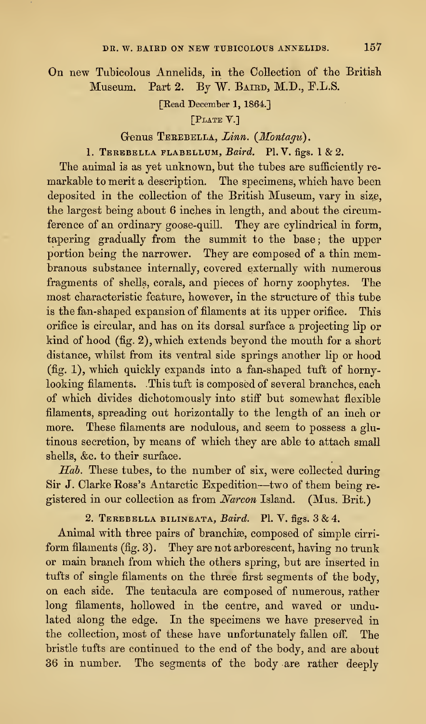On new Tubicolous Annelids, in the Collection of the British Museum. Part 2. By W. BAIRD, M.D., F.L.S.

[Read December 1, 1864.]

[PLATE V.]

Genus TEREBELLA, Linn. (Montagu).

1. TEREBELLA FLABELLUM,  $Baird$ . Pl. V. figs. 1 & 2.

The animal is as yet unknown, but the tubes are sufficiently remarkable to merit a description. The specimens, which have been deposited in the collection of the British Museum, vary in size, the largest being about 6 inches in length, and about the circumference of an ordinary goose-quill. They are cylindrical in form, tapering gradually from the summit to the base; the upper portion being the narrower. They are composed of a thin membranous substance internally, covered externally with numerous fragments of shells, corals, and pieces of horny zoophytes. The most characteristic feature, however, in the structure of this tube is the fan-shaped expansion of filaments at its upper orifice. This orifice is circular, and has on its dorsal surface a projecting lip or kind of hood (fig. 2), which extends beyond the mouth for a short distance, whilst from its ventral side springs another lip or hood (fig. 1), which quickly expands into a fan-shaped tuft of hornylooking filaments. This tuft is composed of several branches, each of which divides dichotomously into stiff but somewhat flexible filaments, spreading out horizontally to the length of an inch or more. These filaments are nodulous, and seem to possess a glutinous secretion, by means of which they are able to attach small shells, &c. to their surface.

Hab. These tubes, to the number of six, were collected during Sir J. Clarke Ross's Antarctic Expedition—two of them being registered in our collection as from Narcon Island. (Mus. Brit.)

2. TEREBELLA BILINEATA, Baird. Pl. V. figs.  $3 & 4$ .

Animal with three pairs of branchiae, composed of simple cirri form filaments (fig. 3). They are not arborescent, having no trunk or main branch from which the others spring, but are inserted in tufts of single filaments on the three first segments of the body, on each side. The tentacula are composed of numerous, rather long filaments, hollowed in the centre, and waved or undulated along the edge. In the specimens we have preserved in the collection, most of these have unfortunately fallen off. The bristle tufts are continued to the end of the body, and are about 36 in number. The segments of the body are rather deeply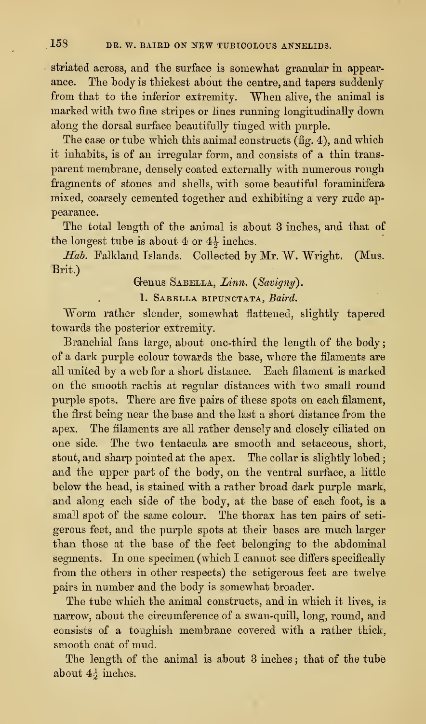striated across, and the surface is somewhat granular in appearance. The body is thickest about the centre, and tapers suddenly from that to the inferior extremity. When alive, the animal is marked with two fine stripes or lines running longitudinally down along the dorsal surface beautifully tinged with purple.

The case or tube which this animal constructs (fig. 4), and which it inhabits, is of an irregular form, and consists of a thin trans parent membrane, densely coated externally with numerous rough fragments of stones and shells, with some beautiful foraminifera mixed, coarsely cemented together and exhibiting a very rude appearance.

The total length of the animal is about 3 inches, and that of the longest tube is about 4 or  $4\frac{1}{2}$  inches.

Hab. Falkland Islands. Collected by Mr. W. Wright. (Mus. Brit.)

Genus SABELLA, Linn. (Savigny).

1. SABELLA BIPUNCTATA, Baird.

Worm rather slender, somewhat flattened, slightly tapered towards the posterior extremity.

Branchial fans large, about one-third the length of the body of a dark purple colour towards the base, where the filaments are all united by a web for a short distance. Each filament is marked on the smooth rachis at regular distances with two small round purple spots. There are five pairs of these spots on each filament, the first being near the base and the last a short distance from the apex. The filaments are all rather densely and closely ciliated on one side. The two tentacula are smooth and setaceous, short, stout, and sharp pointed at the apex. The collar is slightly lobed; and the upper part of the body, on the ventral surface, a little below the head, is stained with a rather broad dark purple mark, and along each side of the body, at the base of each foot, is a small spot of the same colour. The thorax has ten pairs of seti gerous feet, and the purple spots at their bases are much larger than those at the base of the feet belonging to the abdominal segments. In one specimen (which I cannot see differs specifically from the others in other respects) the setigerous feet are twelve pairs in number and the body is somewhat broader.

The tube which the animal constructs, and in which it lives, is narrow, about the circumference of a swan-quill, long, round, and consists of a toughish membrane covered with a rather thick, smooth coat of mud.

The length of the animal is about 3 inches ; that of the tube about  $4\frac{1}{2}$  inches.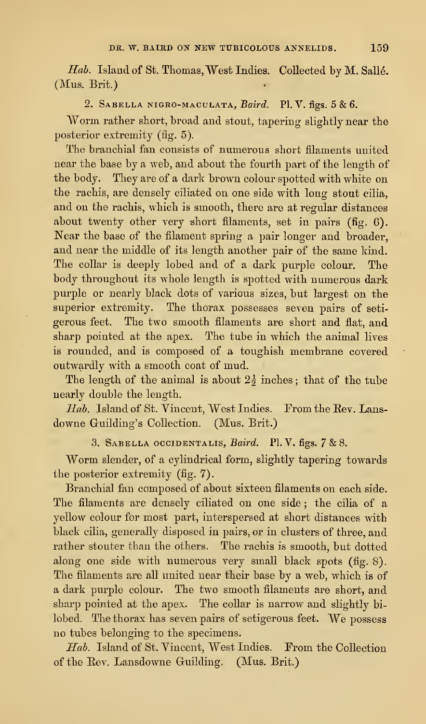Hab. Island of St. Thomas, West Indies. Collected by M. Sallé. (Mus. Brit.)

## 2. SABELLA NIGRO-MACULATA, Baird. Pl. V. figs. 5 & 6.

Worm rather short, broad and stout, tapering slightly near the posterior extremity (fig. 5).

The branchial fan consists of numerous short filaments united near the base by a web, and about the fourth part of the length of the body. They are of a dark brown colour spotted with white on the rachis, are densely ciliated on one side with long stout cilia, and on the rachis, which is smooth, there are at regular distances about twenty other very short filaments, set in pairs (fig. 6). Near the base of the filament spring a pair longer and broader, and near the middle of its length another pair of the same kind. The collar is deeply lobed and of a dark purple colour. The body throughout its whole length is spotted with numerous dark purple or nearly black dots of various sizes, but largest on the superior extremity. The thorax possesses seven pairs of setigerous feet. The two smooth filaments are short and fiat, and sharp pointed at the apex. The tube in which the animal lives is rounded, and is composed of a toughish membrane covered outwardly with a smooth coat of mud.

The length of the animal is about  $2\frac{1}{2}$  inches; that of the tube nearly double the length.

Hab. Island of St. Vincent, West Indies. From the Rev. Lansdowne Guilding's Collection. (Mus. Brit.)

## 3. Sabella occidentalis, Baird. PI. V. figs. <sup>7</sup> & 8.

Worm slender, of <sup>a</sup> cylindrical form, slightly tapering towards the posterior extremity (fig. 7).

Branchial fan composed of about sixteen filaments on each side. The filaments are densely ciliated on one side; the cilia of a yellow colour for most part, interspersed at short distances with black cilia, generally disposed in pairs, or in clusters of three, and rather stouter than the others. The rachis is smooth, but dotted along one side with numerous very small black spots (fig. 8). The filaments are all united near their base by a web, which is of a dark purple colour. The two smooth filaments are short, and sharp pointed at the apex. The collar is narrow and slightly bilobed. The thorax has seven pairs of setigerous feet. We possess no tubes belonging to the specimens.

Hab. Island of St. Vincent, West Indies. From the Collection of the Eev. Lansdowne Guilding. (Mus. Brit.)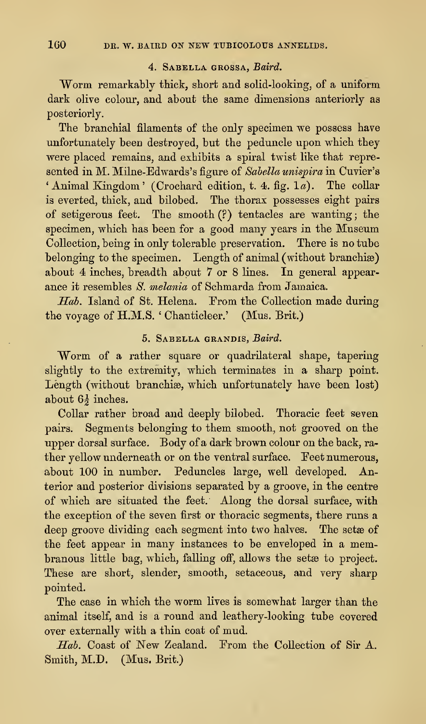## 4. Sabella grossa, Baird.

Worm remarkably thick, short and solid-looking, of a uniform dark olive colour, and about the same dimensions anteriorly as posteriorly.

The branchial filaments of the only specimen we possess have unfortunately been destroyed, but the peduncle upon which they were placed remains, and exhibits a spiral twist like that represented in M. Milne-Edwards's figure of Sabella unispira in Cuvier's 'Animal Kingdom' (Crochard edition, t. 4. fig.  $1a$ ). The collar is everted, thick, and bilobed. The thorax possesses eight pairs of setigerous feet. The smooth (?) tentacles are wanting ; the specimen, which has been for a good many years in the Museum Collection, being in only tolerable preservation. There is no tube belonging to the specimen. Length of animal (without branchiae) about 4 inches, breadth about 7 or 8 lines. In general appear ance it resembles S. melania of Schmarda from Jamaica.

Hah. Island of St. Helena. From the Collection made during the voyage of H.M.S. ' Chanticleer.' (Mus. Brit.)

## 5. Sabella grandis, Baird.

Worm of a rather square or quadrilateral shape, tapering slightly to the extremity, which terminates in a sharp point. Length (without branchiæ, which unfortunately have been lost) about  $6\frac{1}{2}$  inches.

Collar rather broad and deeply bilobed. Thoracic feet seven pairs. Segments belonging to them smooth, not grooved on the upper dorsal surface. Body of a dark brown colour on the back, ra ther yellow underneath or on the ventral surface. Feet numerous, about 100 in number. Peduncles large, well developed. Anterior and posterior divisions separated by a groove, in the centre of which are situated the feet. Along the dorsal surface, with the exception of the seven first or thoracic segments, there runs a deep groove dividing each segment into two halves. The setae of the feet appear in many instances to be enveloped in a membranous little bag, which, falling off, allows the setae to project. These are short, slender, smooth, setaceous, and very sharp pointed.

The case in which the worm lives is somewhat larger than the animal itself, and is a round and leathery-looking tube covered over externally with a thin coat of mud.

Hab. Coast of New Zealand. From the Collection of Sir A. Smith, M.D. (Mus. Brit.)